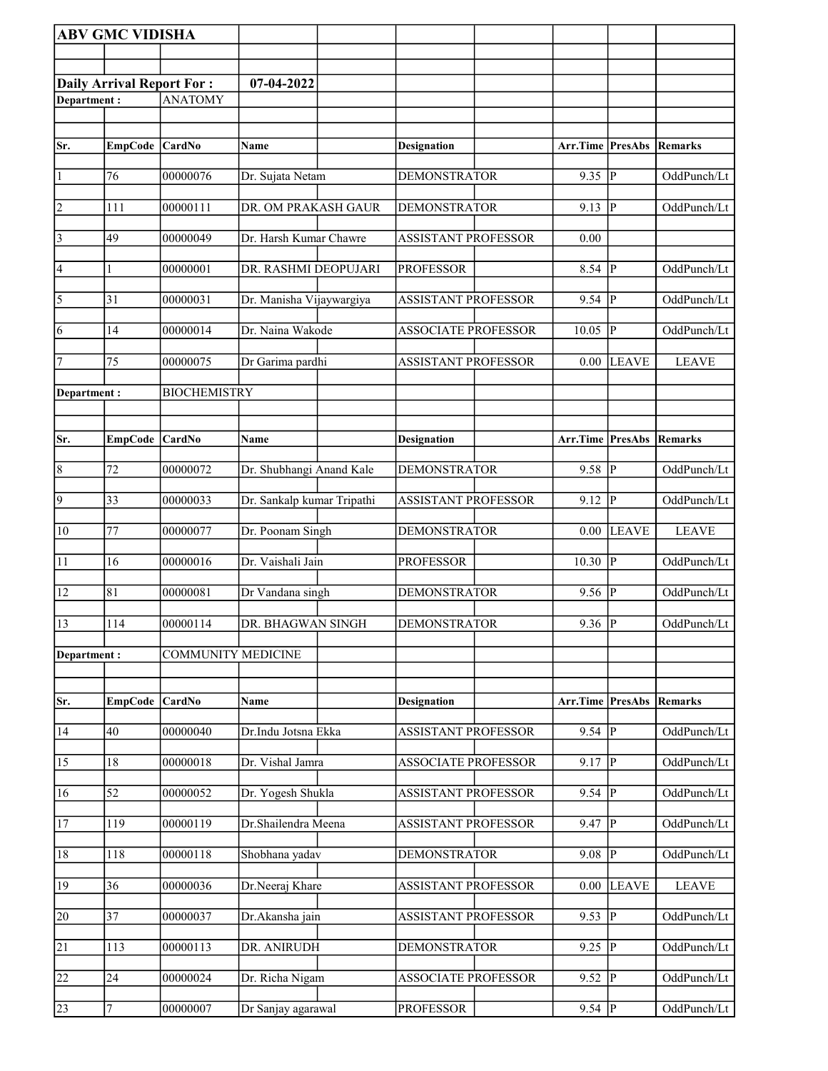|                 | <b>ABV GMC VIDISHA</b>           |                           |                            |                            |                                 |                |              |
|-----------------|----------------------------------|---------------------------|----------------------------|----------------------------|---------------------------------|----------------|--------------|
|                 |                                  |                           |                            |                            |                                 |                |              |
|                 | <b>Daily Arrival Report For:</b> |                           | 07-04-2022                 |                            |                                 |                |              |
| Department:     |                                  | <b>ANATOMY</b>            |                            |                            |                                 |                |              |
|                 |                                  |                           |                            |                            |                                 |                |              |
| Sr.             | <b>EmpCode</b>                   | <b>CardNo</b>             | Name                       | <b>Designation</b>         | <b>Arr.Time PresAbs</b>         |                | Remarks      |
| 1               | 76                               | 00000076                  | Dr. Sujata Netam           | <b>DEMONSTRATOR</b>        | $9.35$ P                        |                | OddPunch/Lt  |
| 2               | 111                              | 00000111                  | DR. OM PRAKASH GAUR        | <b>DEMONSTRATOR</b>        | 9.13                            | P              | OddPunch/Lt  |
| $\vert$ 3       | 49                               | 00000049                  | Dr. Harsh Kumar Chawre     | <b>ASSISTANT PROFESSOR</b> | 0.00                            |                |              |
| 4               | 1                                | 00000001                  | DR. RASHMI DEOPUJARI       | <b>PROFESSOR</b>           | 8.54 $\sqrt{P}$                 |                | OddPunch/Lt  |
| 5               | 31                               | 00000031                  | Dr. Manisha Vijaywargiya   | <b>ASSISTANT PROFESSOR</b> | 9.54                            | P              | OddPunch/Lt  |
| 6               | 14                               | 00000014                  | Dr. Naina Wakode           | <b>ASSOCIATE PROFESSOR</b> | 10.05                           | <b>P</b>       | OddPunch/Lt  |
| 7               | 75                               | 00000075                  | Dr Garima pardhi           | <b>ASSISTANT PROFESSOR</b> | 0.00                            | <b>LEAVE</b>   | <b>LEAVE</b> |
| Department:     |                                  | <b>BIOCHEMISTRY</b>       |                            |                            |                                 |                |              |
|                 |                                  |                           |                            |                            |                                 |                |              |
| Sr.             | <b>EmpCode</b>                   | $\vert$ CardNo            | <b>Name</b>                | <b>Designation</b>         | <b>Arr.Time PresAbs Remarks</b> |                |              |
| $\overline{8}$  | 72                               | 00000072                  | Dr. Shubhangi Anand Kale   | <b>DEMONSTRATOR</b>        | 9.58                            | <b>P</b>       | OddPunch/Lt  |
| $\overline{9}$  | 33                               | 00000033                  | Dr. Sankalp kumar Tripathi | <b>ASSISTANT PROFESSOR</b> | 9.12                            | <sup> </sup> P | OddPunch/Lt  |
| 10              | 77                               | 00000077                  | Dr. Poonam Singh           | <b>DEMONSTRATOR</b>        | 0.00                            | <b>LEAVE</b>   | <b>LEAVE</b> |
| 11              | 16                               | 00000016                  | Dr. Vaishali Jain          | <b>PROFESSOR</b>           | 10.30                           | <b>P</b>       | OddPunch/Lt  |
| 12              | 81                               | 00000081                  | Dr Vandana singh           | <b>DEMONSTRATOR</b>        | 9.56                            | IР             | OddPunch/Lt  |
| 13              | 114                              | 00000114                  | DR. BHAGWAN SINGH          | <b>DEMONSTRATOR</b>        | 9.36  P                         |                | OddPunch/Lt  |
| Department:     |                                  | <b>COMMUNITY MEDICINE</b> |                            |                            |                                 |                |              |
|                 |                                  |                           |                            |                            |                                 |                |              |
| Sr.             | <b>EmpCode</b>                   | $\vert$ CardNo            | Name                       | <b>Designation</b>         | Arr.Time                        | <b>PresAbs</b> | Remarks      |
| $\sqrt{14}$     | 40                               | 00000040                  | Dr.Indu Jotsna Ekka        | <b>ASSISTANT PROFESSOR</b> | $9.54$ P                        |                | OddPunch/Lt  |
| $\overline{15}$ | 18                               | 00000018                  | Dr. Vishal Jamra           | <b>ASSOCIATE PROFESSOR</b> | 9.17                            | $ {\bf P} $    | OddPunch/Lt  |
| 16              | 52                               | 00000052                  | Dr. Yogesh Shukla          | <b>ASSISTANT PROFESSOR</b> | 9.54                            | P              | OddPunch/Lt  |
| 17              | 119                              | 00000119                  | Dr.Shailendra Meena        | <b>ASSISTANT PROFESSOR</b> | 9.47                            | ΙP             | OddPunch/Lt  |
| 18              | 118                              | 00000118                  | Shobhana yadav             | <b>DEMONSTRATOR</b>        | 9.08                            | P              | OddPunch/Lt  |
| $\overline{19}$ | 36                               | 00000036                  | Dr.Neeraj Khare            | <b>ASSISTANT PROFESSOR</b> | 0.00                            | <b>LEAVE</b>   | <b>LEAVE</b> |
| 20              | 37                               | 00000037                  | Dr.Akansha jain            | <b>ASSISTANT PROFESSOR</b> | 9.53                            | P              | OddPunch/Lt  |
| $\overline{21}$ | 113                              | 00000113                  | DR. ANIRUDH                | <b>DEMONSTRATOR</b>        | 9.25                            | P              | OddPunch/Lt  |
| 22              | 24                               | 00000024                  | Dr. Richa Nigam            | <b>ASSOCIATE PROFESSOR</b> | 9.52                            | $\overline{P}$ | OddPunch/Lt  |
| 23              | $\overline{7}$                   | 00000007                  | Dr Sanjay agarawal         | <b>PROFESSOR</b>           | $9.54$ P                        |                | OddPunch/Lt  |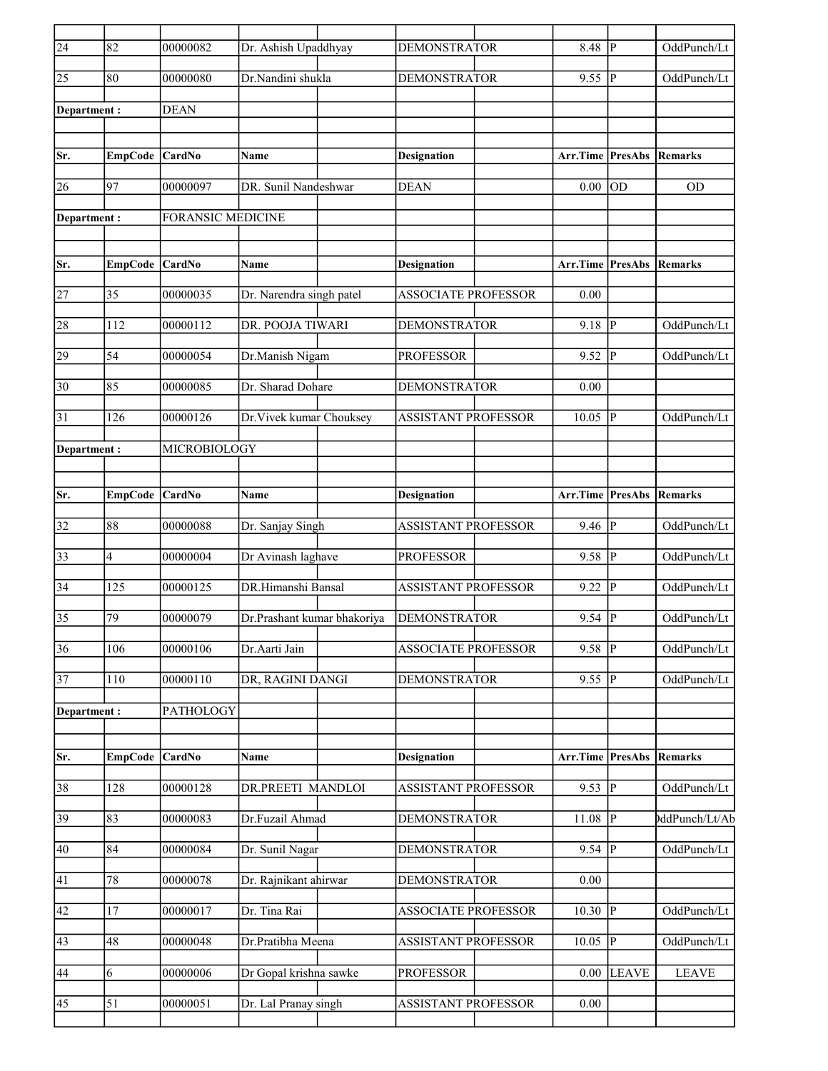| $\overline{24}$ | 82             | 00000082                 | Dr. Ashish Upaddhyay        | <b>DEMONSTRATOR</b>        | 8.48                    | P            | OddPunch/Lt    |
|-----------------|----------------|--------------------------|-----------------------------|----------------------------|-------------------------|--------------|----------------|
| 25              | 80             | 00000080                 | Dr.Nandini shukla           | <b>DEMONSTRATOR</b>        | 9.55                    | P            | OddPunch/Lt    |
| Department :    |                | <b>DEAN</b>              |                             |                            |                         |              |                |
|                 |                |                          |                             |                            |                         |              |                |
| Sr.             | <b>EmpCode</b> | <b>CardNo</b>            | Name                        | <b>Designation</b>         | Arr.Time PresAbs        |              | Remarks        |
| 26              | 97             | 00000097                 | DR. Sunil Nandeshwar        | <b>DEAN</b>                | 0.00                    | lod          | <b>OD</b>      |
| Department:     |                | <b>FORANSIC MEDICINE</b> |                             |                            |                         |              |                |
|                 |                |                          |                             |                            |                         |              |                |
| Sr.             | <b>EmpCode</b> | CardNo                   | Name                        | Designation                | Arr.Time PresAbs        |              | <b>Remarks</b> |
| 27              | 35             | 00000035                 | Dr. Narendra singh patel    | <b>ASSOCIATE PROFESSOR</b> | 0.00                    |              |                |
|                 |                |                          |                             |                            |                         |              |                |
| 28              | 112            | 00000112                 | DR. POOJA TIWARI            | <b>DEMONSTRATOR</b>        | 9.18                    | P            | OddPunch/Lt    |
| 29              | 54             | 00000054                 | Dr.Manish Nigam             | <b>PROFESSOR</b>           | 9.52                    | P            | OddPunch/Lt    |
| 30              | 85             | 00000085                 | Dr. Sharad Dohare           | <b>DEMONSTRATOR</b>        | 0.00                    |              |                |
| 31              | 126            | 00000126                 | Dr. Vivek kumar Chouksey    | <b>ASSISTANT PROFESSOR</b> | 10.05                   | P            | OddPunch/Lt    |
| Department:     |                | MICROBIOLOGY             |                             |                            |                         |              |                |
|                 |                |                          |                             |                            |                         |              |                |
| Sr.             | <b>EmpCode</b> | <b>CardNo</b>            | Name                        | <b>Designation</b>         | Arr.Time PresAbs        |              | <b>Remarks</b> |
| 32              | 88             | 00000088                 | Dr. Sanjay Singh            | <b>ASSISTANT PROFESSOR</b> | 9.46                    | P            | OddPunch/Lt    |
| 33              | 4              | 00000004                 | Dr Avinash laghave          | <b>PROFESSOR</b>           | $9.58$ P                |              | OddPunch/Lt    |
| 34              | 125            | 00000125                 | DR.Himanshi Bansal          | <b>ASSISTANT PROFESSOR</b> | 9.22                    | P            | OddPunch/Lt    |
| 35              | 79             | 00000079                 | Dr.Prashant kumar bhakoriya | <b>DEMONSTRATOR</b>        | 9.54                    | P            | OddPunch/Lt    |
|                 |                |                          |                             |                            |                         |              |                |
| $\overline{36}$ | 106            | 00000106                 | Dr.Aarti Jain               | <b>ASSOCIATE PROFESSOR</b> | $9.58$ P                |              | OddPunch/Lt    |
| 37              | 110            | 00000110                 | DR, RAGINI DANGI            | <b>DEMONSTRATOR</b>        | 9.55 P                  |              | OddPunch/Lt    |
| Department:     |                | PATHOLOGY                |                             |                            |                         |              |                |
|                 |                |                          |                             |                            |                         |              |                |
| Sr.             | <b>EmpCode</b> | CardNo                   | Name                        | <b>Designation</b>         | <b>Arr.Time PresAbs</b> |              | <b>Remarks</b> |
| 38              | 128            | 00000128                 | DR.PREETI MANDLOI           | <b>ASSISTANT PROFESSOR</b> | $9.53$ P                |              | OddPunch/Lt    |
| 39              | 83             | 00000083                 | Dr.Fuzail Ahmad             | <b>DEMONSTRATOR</b>        | $11.08$ P               |              | ddPunch/Lt/Ab  |
| 40              | 84             | 00000084                 | Dr. Sunil Nagar             | <b>DEMONSTRATOR</b>        | $9.54$ P                |              | OddPunch/Lt    |
|                 |                |                          |                             |                            |                         |              |                |
| 41              | 78             | 00000078                 | Dr. Rajnikant ahirwar       | <b>DEMONSTRATOR</b>        | $0.00\,$                |              |                |
| 42              | 17             | 00000017                 | Dr. Tina Rai                | <b>ASSOCIATE PROFESSOR</b> | 10.30                   | P            | OddPunch/Lt    |
| 43              | 48             | 00000048                 | Dr.Pratibha Meena           | <b>ASSISTANT PROFESSOR</b> | $10.05$ P               |              | OddPunch/Lt    |
| 44              | 6              | 00000006                 | Dr Gopal krishna sawke      | <b>PROFESSOR</b>           | 0.00                    | <b>LEAVE</b> | <b>LEAVE</b>   |
| $ 45\rangle$    | 51             | 00000051                 | Dr. Lal Pranay singh        | <b>ASSISTANT PROFESSOR</b> | 0.00                    |              |                |
|                 |                |                          |                             |                            |                         |              |                |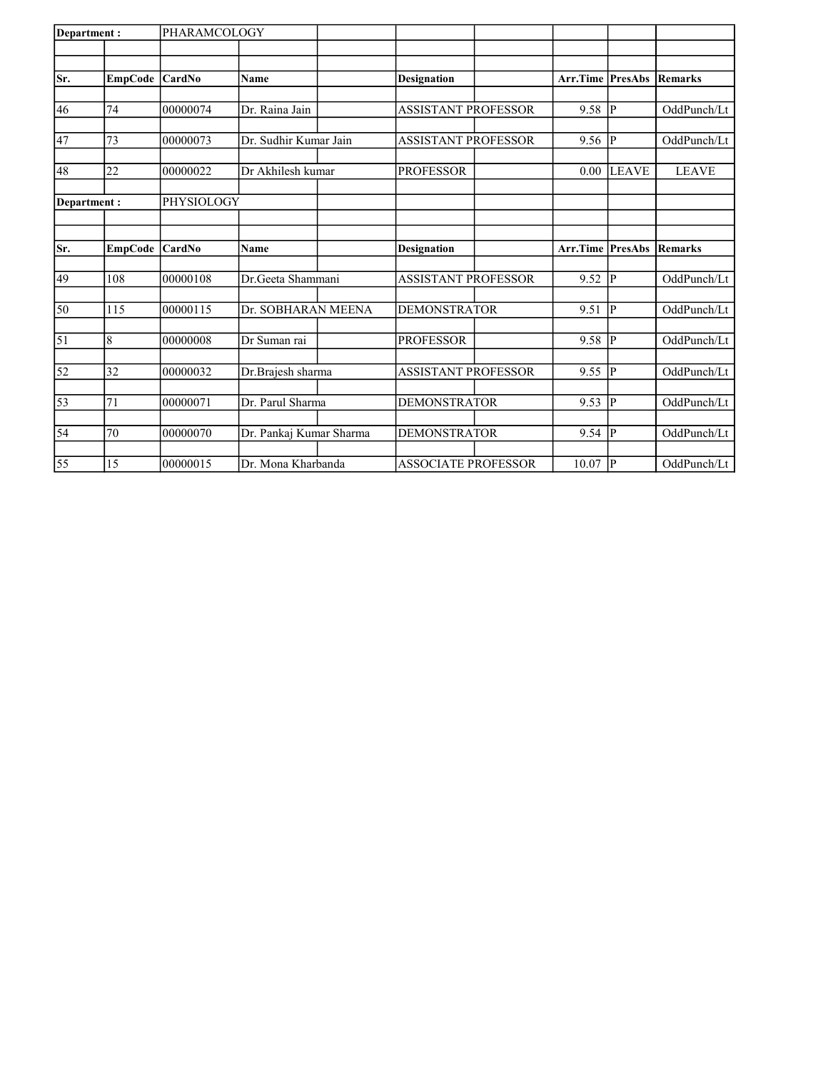| Department:    |                            |                         |                                                                                   |                                                                                |               |                                                                                                             |
|----------------|----------------------------|-------------------------|-----------------------------------------------------------------------------------|--------------------------------------------------------------------------------|---------------|-------------------------------------------------------------------------------------------------------------|
|                |                            |                         |                                                                                   |                                                                                |               |                                                                                                             |
|                | <b>CardNo</b>              |                         |                                                                                   |                                                                                |               | <b>Remarks</b>                                                                                              |
|                |                            |                         |                                                                                   |                                                                                |               |                                                                                                             |
| 74             | 00000074                   | Dr. Raina Jain          | <b>ASSISTANT PROFESSOR</b>                                                        | 9.58                                                                           |               | OddPunch/Lt                                                                                                 |
|                |                            |                         |                                                                                   |                                                                                |               | OddPunch/Lt                                                                                                 |
|                |                            |                         |                                                                                   |                                                                                |               |                                                                                                             |
| 22             | 00000022                   | Dr Akhilesh kumar       | <b>PROFESSOR</b>                                                                  | 0.00                                                                           |               | <b>LEAVE</b>                                                                                                |
| Department:    |                            |                         |                                                                                   |                                                                                |               |                                                                                                             |
|                |                            |                         |                                                                                   |                                                                                |               |                                                                                                             |
| <b>EmpCode</b> | CardNo                     | <b>Name</b>             | <b>Designation</b>                                                                |                                                                                |               | <b>Remarks</b>                                                                                              |
|                |                            |                         |                                                                                   |                                                                                |               |                                                                                                             |
| 108            | 00000108                   | Dr.Geeta Shammani       | <b>ASSISTANT PROFESSOR</b>                                                        | 9.52                                                                           | P             | OddPunch/Lt                                                                                                 |
| 115            | 00000115                   | Dr. SOBHARAN MEENA      | <b>DEMONSTRATOR</b>                                                               | 9.51                                                                           |               | OddPunch/Lt                                                                                                 |
|                |                            |                         |                                                                                   |                                                                                |               |                                                                                                             |
| 8              | 00000008                   | Dr Suman rai            | <b>PROFESSOR</b>                                                                  | 9.58                                                                           |               | OddPunch/Lt                                                                                                 |
| 32             | 00000032                   | Dr.Brajesh sharma       | <b>ASSISTANT PROFESSOR</b>                                                        | 9.55                                                                           |               | OddPunch/Lt                                                                                                 |
| 71             | 00000071                   | Dr. Parul Sharma        | <b>DEMONSTRATOR</b>                                                               | 9.53                                                                           | $ {\bf p} $   | OddPunch/Lt                                                                                                 |
|                |                            |                         |                                                                                   |                                                                                |               |                                                                                                             |
| 70             | 00000070                   | Dr. Pankaj Kumar Sharma | <b>DEMONSTRATOR</b>                                                               | 9.54                                                                           | P             | OddPunch/Lt                                                                                                 |
|                |                            |                         |                                                                                   |                                                                                |               | OddPunch/Lt                                                                                                 |
|                | <b>EmpCode</b><br>73<br>15 | 00000073<br>00000015    | PHARAMCOLOGY<br>Name<br>Dr. Sudhir Kumar Jain<br>PHYSIOLOGY<br>Dr. Mona Kharbanda | <b>Designation</b><br><b>ASSISTANT PROFESSOR</b><br><b>ASSOCIATE PROFESSOR</b> | 9.56<br>10.07 | <b>Arr.Time PresAbs</b><br> P <br> p <br><b>LEAVE</b><br><b>Arr.Time PresAbs</b><br> P <br> P <br> p <br> P |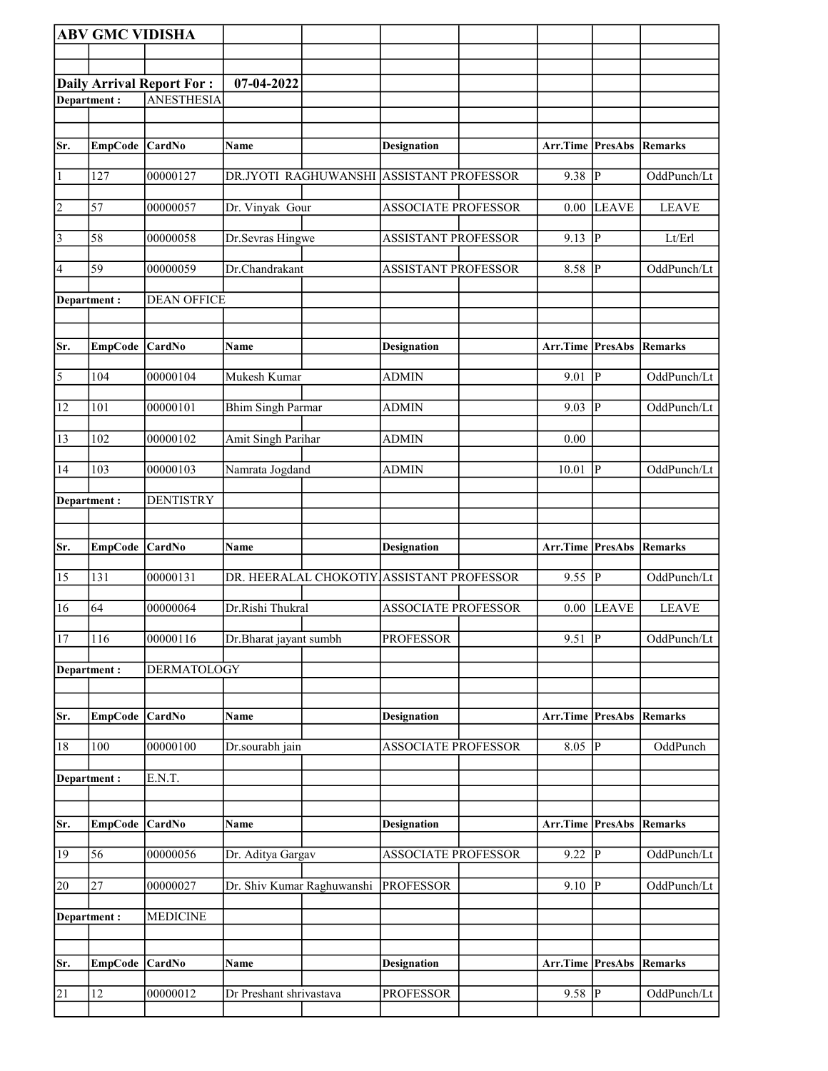|                       | <b>ABV GMC VIDISHA</b> |                                  |                            |                                           |                         |              |              |
|-----------------------|------------------------|----------------------------------|----------------------------|-------------------------------------------|-------------------------|--------------|--------------|
|                       |                        |                                  |                            |                                           |                         |              |              |
|                       |                        | <b>Daily Arrival Report For:</b> | 07-04-2022                 |                                           |                         |              |              |
|                       | Department:            | <b>ANESTHESIA</b>                |                            |                                           |                         |              |              |
|                       |                        |                                  |                            |                                           |                         |              |              |
| Sr.                   | EmpCode CardNo         |                                  | Name                       | <b>Designation</b>                        | Arr.Time PresAbs        |              | Remarks      |
|                       |                        |                                  |                            |                                           |                         |              |              |
| $\vert$ 1             | 127                    | 00000127                         | DR.JYOTI RAGHUWANSHI       | <b>ASSISTANT PROFESSOR</b>                | 9.38                    | P            | OddPunch/Lt  |
| $\vert$ 2             | 57                     | 00000057                         | Dr. Vinyak Gour            | <b>ASSOCIATE PROFESSOR</b>                | 0.00                    | <b>LEAVE</b> | <b>LEAVE</b> |
| $\vert$ 3             | 58                     | 00000058                         | Dr.Sevras Hingwe           | <b>ASSISTANT PROFESSOR</b>                | 9.13  P                 |              | Lt/Erl       |
| 4                     | 59                     | 00000059                         | Dr.Chandrakant             | <b>ASSISTANT PROFESSOR</b>                | 8.58                    | P            | OddPunch/Lt  |
|                       | Department :           | <b>DEAN OFFICE</b>               |                            |                                           |                         |              |              |
| Sr.                   | <b>EmpCode</b>         | CardNo                           | Name                       | <b>Designation</b>                        | Arr.Time PresAbs        |              | Remarks      |
| $\overline{\sqrt{5}}$ | 104                    | 00000104                         | Mukesh Kumar               | <b>ADMIN</b>                              | 9.01                    | P            | OddPunch/Lt  |
|                       |                        |                                  |                            |                                           |                         |              |              |
| 12                    | 101                    | 00000101                         | <b>Bhim Singh Parmar</b>   | <b>ADMIN</b>                              | 9.03                    | lР           | OddPunch/Lt  |
| 13                    | 102                    | 00000102                         | Amit Singh Parihar         | <b>ADMIN</b>                              | 0.00                    |              |              |
| 14                    | 103                    | 00000103                         | Namrata Jogdand            | <b>ADMIN</b>                              | 10.01                   | p            | OddPunch/Lt  |
|                       | Department:            | <b>DENTISTRY</b>                 |                            |                                           |                         |              |              |
|                       |                        |                                  |                            |                                           |                         |              |              |
| Sr.                   | <b>EmpCode</b>         | CardNo                           | Name                       | <b>Designation</b>                        | <b>Arr.Time PresAbs</b> |              | Remarks      |
|                       |                        |                                  |                            |                                           |                         |              |              |
| 15                    | 131                    | 00000131                         |                            | DR. HEERALAL CHOKOTIY ASSISTANT PROFESSOR | 9.55                    | P            | OddPunch/Lt  |
| 16                    | 64                     | 00000064                         | Dr.Rishi Thukral           | <b>ASSOCIATE PROFESSOR</b>                | 0.00                    | <b>LEAVE</b> | <b>LEAVE</b> |
| 17                    | 116                    | 00000116                         | Dr.Bharat jayant sumbh     | <b>PROFESSOR</b>                          | $9.51$ P                |              | OddPunch/Lt  |
|                       | Department:            | <b>DERMATOLOGY</b>               |                            |                                           |                         |              |              |
| Sr.                   | <b>EmpCode</b>         | CardNo                           | Name                       | <b>Designation</b>                        | Arr.Time PresAbs        |              | Remarks      |
| 18                    | 100                    | 00000100                         | Dr.sourabh jain            | <b>ASSOCIATE PROFESSOR</b>                | 8.05                    | p            | OddPunch     |
|                       | Department:            | E.N.T.                           |                            |                                           |                         |              |              |
|                       |                        |                                  |                            |                                           |                         |              |              |
| Sr.                   | EmpCode CardNo         |                                  | Name                       | <b>Designation</b>                        | Arr.Time PresAbs        |              | Remarks      |
| 19                    | 56                     | 00000056                         | Dr. Aditya Gargav          | ASSOCIATE PROFESSOR                       | $9.22 \overline{P}$     |              | OddPunch/Lt  |
| 20                    | 27                     | 00000027                         | Dr. Shiv Kumar Raghuwanshi | <b>PROFESSOR</b>                          | 9.10                    | P            | OddPunch/Lt  |
|                       | Department :           | <b>MEDICINE</b>                  |                            |                                           |                         |              |              |
|                       |                        |                                  |                            |                                           |                         |              |              |
| Sr.                   | <b>EmpCode</b>         | <b>CardNo</b>                    | Name                       | <b>Designation</b>                        | Arr.Time PresAbs        |              | Remarks      |
| $\overline{21}$       | 12                     | 00000012                         | Dr Preshant shrivastava    | <b>PROFESSOR</b>                          | $9.58$ P                |              | OddPunch/Lt  |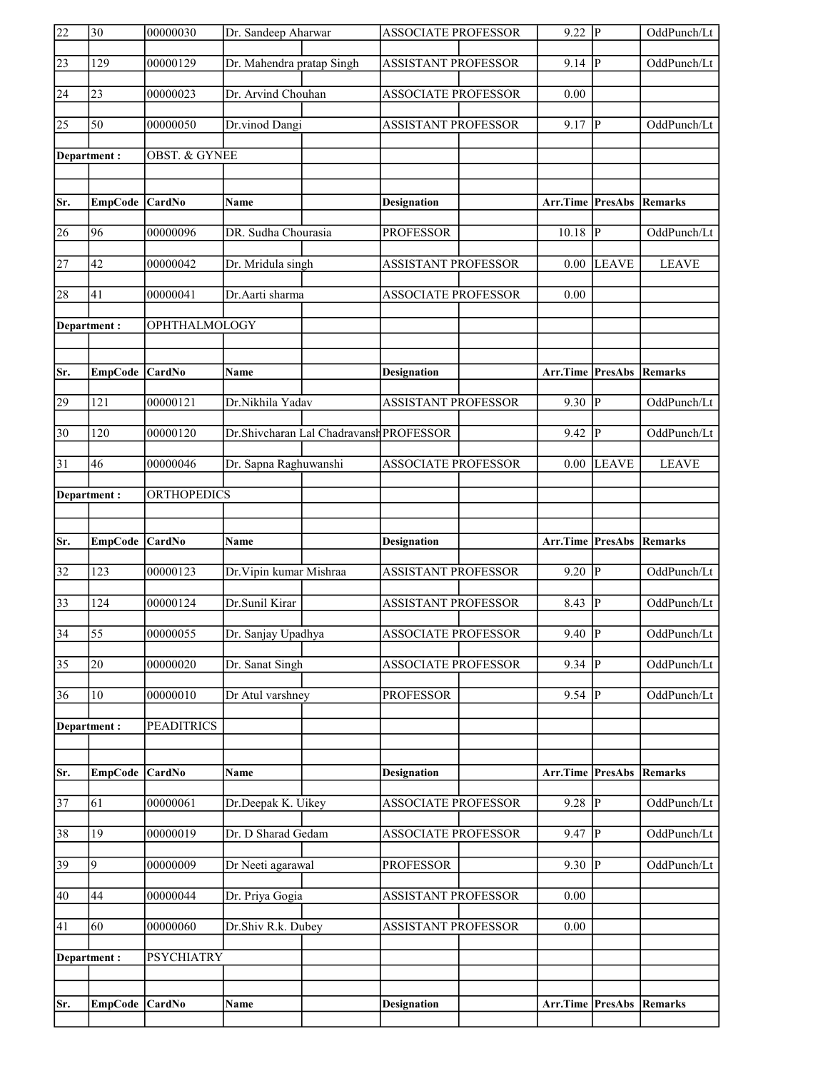| 22              | $\overline{30}$ | 00000030                 | Dr. Sandeep Aharwar                     | <b>ASSOCIATE PROFESSOR</b> | $9.22$ P                |                | OddPunch/Lt    |
|-----------------|-----------------|--------------------------|-----------------------------------------|----------------------------|-------------------------|----------------|----------------|
| $\sqrt{23}$     | 129             | 00000129                 | Dr. Mahendra pratap Singh               | <b>ASSISTANT PROFESSOR</b> | 9.14                    | $\overline{P}$ | OddPunch/Lt    |
| 24              | 23              | 00000023                 | Dr. Arvind Chouhan                      | <b>ASSOCIATE PROFESSOR</b> | 0.00                    |                |                |
| 25              | 50              | 00000050                 | Dr.vinod Dangi                          | <b>ASSISTANT PROFESSOR</b> | 9.17                    | P              | OddPunch/Lt    |
|                 | Department:     | <b>OBST. &amp; GYNEE</b> |                                         |                            |                         |                |                |
|                 |                 |                          |                                         |                            |                         |                |                |
| Sr.             | EmpCode CardNo  |                          | Name                                    | <b>Designation</b>         | Arr.Time PresAbs        |                | Remarks        |
| 26              | 96              | 00000096                 | DR. Sudha Chourasia                     | <b>PROFESSOR</b>           | 10.18                   | P              | OddPunch/Lt    |
| 27              | 42              | 00000042                 | Dr. Mridula singh                       | <b>ASSISTANT PROFESSOR</b> | 0.00                    | <b>LEAVE</b>   | <b>LEAVE</b>   |
| 28              | 41              | 00000041                 | Dr.Aarti sharma                         | <b>ASSOCIATE PROFESSOR</b> | 0.00                    |                |                |
|                 | Department:     | OPHTHALMOLOGY            |                                         |                            |                         |                |                |
|                 |                 |                          |                                         |                            |                         |                |                |
| Sr.             | EmpCode CardNo  |                          | <b>Name</b>                             | <b>Designation</b>         | Arr.Time PresAbs        |                | Remarks        |
| 29              | 121             | 00000121                 | Dr.Nikhila Yadav                        | <b>ASSISTANT PROFESSOR</b> | 9.30                    | lР             | OddPunch/Lt    |
| $ 30\rangle$    | 120             | 00000120                 | Dr.Shivcharan Lal Chadravansh PROFESSOR |                            | 9.42                    | P              | OddPunch/Lt    |
| 31              | 46              | 00000046                 | Dr. Sapna Raghuwanshi                   | <b>ASSOCIATE PROFESSOR</b> | 0.00                    | <b>LEAVE</b>   | <b>LEAVE</b>   |
|                 | Department:     | <b>ORTHOPEDICS</b>       |                                         |                            |                         |                |                |
|                 |                 |                          |                                         |                            |                         |                |                |
|                 |                 |                          |                                         |                            |                         |                |                |
| Sr.             | <b>EmpCode</b>  | CardNo                   | Name                                    | <b>Designation</b>         | Arr.Time PresAbs        |                | Remarks        |
| $\overline{32}$ | 123             | 00000123                 | Dr. Vipin kumar Mishraa                 | <b>ASSISTANT PROFESSOR</b> | 9.20   $P$              |                | OddPunch/Lt    |
| 33              | 124             | 00000124                 | Dr.Sunil Kirar                          | ASSISTANT PROFESSOR        | 8.43                    | lP.            | OddPunch/Lt    |
| $\overline{34}$ | $\overline{55}$ | 00000055                 | Dr. Sanjay Upadhya                      | <b>ASSOCIATE PROFESSOR</b> | $9.40$ P                |                | OddPunch/Lt    |
| $\overline{35}$ | 20              | 00000020                 | Dr. Sanat Singh                         | <b>ASSOCIATE PROFESSOR</b> | 9.34                    | P              | OddPunch/Lt    |
| 36              | 10              | 00000010                 | Dr Atul varshney                        | <b>PROFESSOR</b>           | $9.54$ P                |                | OddPunch/Lt    |
|                 | Department:     | <b>PEADITRICS</b>        |                                         |                            |                         |                |                |
|                 |                 |                          |                                         |                            |                         |                |                |
| Sr.             | <b>EmpCode</b>  | CardNo                   | Name                                    | <b>Designation</b>         | <b>Arr.Time PresAbs</b> |                | <b>Remarks</b> |
| $\overline{37}$ | 61              | 00000061                 | Dr.Deepak K. Uikey                      | <b>ASSOCIATE PROFESSOR</b> | 9.28                    |                | OddPunch/Lt    |
| 38              | 19              | 00000019                 | Dr. D Sharad Gedam                      | <b>ASSOCIATE PROFESSOR</b> | 9.47                    | P              | OddPunch/Lt    |
| 39              | 9               | 00000009                 | Dr Neeti agarawal                       | <b>PROFESSOR</b>           | 9.30                    | P              | OddPunch/Lt    |
| 40              | 44              | 00000044                 | Dr. Priya Gogia                         | <b>ASSISTANT PROFESSOR</b> | 0.00                    |                |                |
| 41              | 60              | 00000060                 | Dr.Shiv R.k. Dubey                      | <b>ASSISTANT PROFESSOR</b> | 0.00                    |                |                |
|                 | Department :    | <b>PSYCHIATRY</b>        |                                         |                            |                         |                |                |
|                 |                 |                          |                                         |                            |                         |                |                |